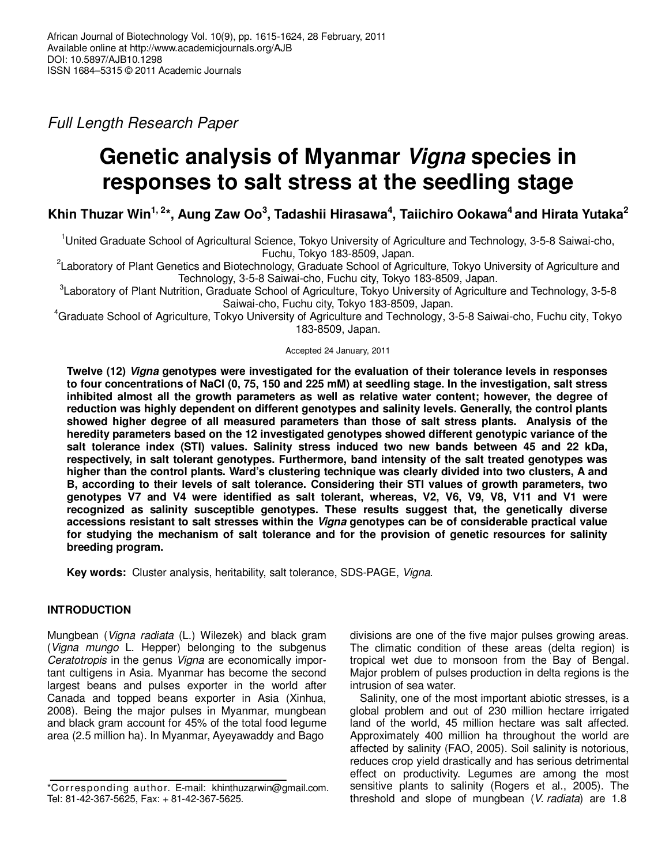Full Length Research Paper

# **Genetic analysis of Myanmar Vigna species in responses to salt stress at the seedling stage**

**Khin Thuzar Win1, 2\*, Aung Zaw Oo<sup>3</sup> , Tadashii Hirasawa<sup>4</sup> , Taiichiro Ookawa<sup>4</sup>and Hirata Yutaka<sup>2</sup>**

<sup>1</sup>United Graduate School of Agricultural Science, Tokyo University of Agriculture and Technology, 3-5-8 Saiwai-cho, Fuchu, Tokyo 183-8509, Japan.

<sup>2</sup>Laboratory of Plant Genetics and Biotechnology, Graduate School of Agriculture, Tokyo University of Agriculture and Technology, 3-5-8 Saiwai-cho, Fuchu city, Tokyo 183-8509, Japan.

3 Laboratory of Plant Nutrition, Graduate School of Agriculture, Tokyo University of Agriculture and Technology, 3-5-8 Saiwai-cho, Fuchu city, Tokyo 183-8509, Japan.

<sup>4</sup>Graduate School of Agriculture, Tokyo University of Agriculture and Technology, 3-5-8 Saiwai-cho, Fuchu city, Tokyo 183-8509, Japan.

Accepted 24 January, 2011

**Twelve (12) Vigna genotypes were investigated for the evaluation of their tolerance levels in responses to four concentrations of NaCl (0, 75, 150 and 225 mM) at seedling stage. In the investigation, salt stress inhibited almost all the growth parameters as well as relative water content; however, the degree of reduction was highly dependent on different genotypes and salinity levels. Generally, the control plants showed higher degree of all measured parameters than those of salt stress plants. Analysis of the heredity parameters based on the 12 investigated genotypes showed different genotypic variance of the salt tolerance index (STI) values. Salinity stress induced two new bands between 45 and 22 kDa, respectively, in salt tolerant genotypes. Furthermore, band intensity of the salt treated genotypes was higher than the control plants. Ward's clustering technique was clearly divided into two clusters, A and B, according to their levels of salt tolerance. Considering their STI values of growth parameters, two genotypes V7 and V4 were identified as salt tolerant, whereas, V2, V6, V9, V8, V11 and V1 were recognized as salinity susceptible genotypes. These results suggest that, the genetically diverse accessions resistant to salt stresses within the Vigna genotypes can be of considerable practical value for studying the mechanism of salt tolerance and for the provision of genetic resources for salinity breeding program.** 

**Key words:** Cluster analysis, heritability, salt tolerance, SDS-PAGE, Vigna.

# **INTRODUCTION**

Mungbean (Vigna radiata (L.) Wilezek) and black gram (Vigna mungo L. Hepper) belonging to the subgenus Ceratotropis in the genus Vigna are economically important cultigens in Asia. Myanmar has become the second largest beans and pulses exporter in the world after Canada and topped beans exporter in Asia (Xinhua, 2008). Being the major pulses in Myanmar, mungbean and black gram account for 45% of the total food legume area (2.5 million ha). In Myanmar, Ayeyawaddy and Bago

divisions are one of the five major pulses growing areas. The climatic condition of these areas (delta region) is tropical wet due to monsoon from the Bay of Bengal. Major problem of pulses production in delta regions is the intrusion of sea water.

Salinity, one of the most important abiotic stresses, is a global problem and out of 230 million hectare irrigated land of the world, 45 million hectare was salt affected. Approximately 400 million ha throughout the world are affected by salinity (FAO, 2005). Soil salinity is notorious, reduces crop yield drastically and has serious detrimental effect on productivity. Legumes are among the most sensitive plants to salinity (Rogers et al., 2005). The threshold and slope of mungbean (V. radiata) are 1.8

<sup>\*</sup>Corresponding author. E-mail: khinthuzarwin@gmail.com. Tel: 81-42-367-5625, Fax: + 81-42-367-5625.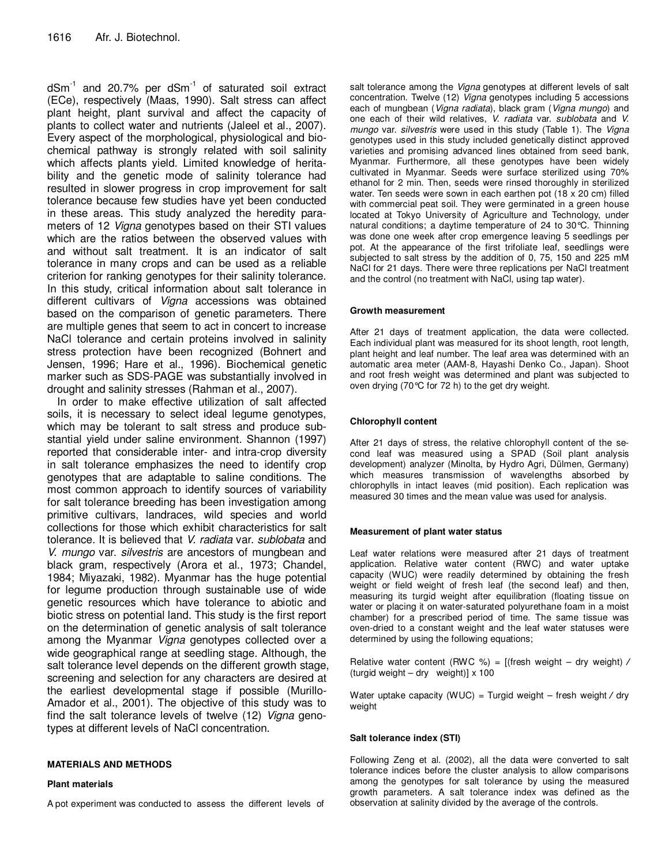$dSm^{-1}$  and 20.7% per  $dSm^{-1}$  of saturated soil extract (ECe), respectively (Maas, 1990). Salt stress can affect plant height, plant survival and affect the capacity of plants to collect water and nutrients (Jaleel et al., 2007). Every aspect of the morphological, physiological and biochemical pathway is strongly related with soil salinity which affects plants yield. Limited knowledge of heritability and the genetic mode of salinity tolerance had resulted in slower progress in crop improvement for salt tolerance because few studies have yet been conducted in these areas. This study analyzed the heredity parameters of 12 Vigna genotypes based on their STI values which are the ratios between the observed values with and without salt treatment. It is an indicator of salt tolerance in many crops and can be used as a reliable criterion for ranking genotypes for their salinity tolerance. In this study, critical information about salt tolerance in different cultivars of Vigna accessions was obtained based on the comparison of genetic parameters. There are multiple genes that seem to act in concert to increase NaCl tolerance and certain proteins involved in salinity stress protection have been recognized (Bohnert and Jensen, 1996; Hare et al., 1996). Biochemical genetic marker such as SDS-PAGE was substantially involved in drought and salinity stresses (Rahman et al., 2007).

In order to make effective utilization of salt affected soils, it is necessary to select ideal legume genotypes, which may be tolerant to salt stress and produce substantial yield under saline environment. Shannon (1997) reported that considerable inter- and intra-crop diversity in salt tolerance emphasizes the need to identify crop genotypes that are adaptable to saline conditions. The most common approach to identify sources of variability for salt tolerance breeding has been investigation among primitive cultivars, landraces, wild species and world collections for those which exhibit characteristics for salt tolerance. It is believed that V. radiata var. sublobata and V. mungo var. silvestris are ancestors of mungbean and black gram, respectively (Arora et al., 1973; Chandel, 1984; Miyazaki, 1982). Myanmar has the huge potential for legume production through sustainable use of wide genetic resources which have tolerance to abiotic and biotic stress on potential land. This study is the first report on the determination of genetic analysis of salt tolerance among the Myanmar Vigna genotypes collected over a wide geographical range at seedling stage. Although, the salt tolerance level depends on the different growth stage, screening and selection for any characters are desired at the earliest developmental stage if possible (Murillo-Amador et al., 2001). The objective of this study was to find the salt tolerance levels of twelve (12) Vigna genotypes at different levels of NaCl concentration.

#### **MATERIALS AND METHODS**

#### **Plant materials**

A pot experiment was conducted to assess the different levels of

salt tolerance among the Vigna genotypes at different levels of salt concentration. Twelve (12) Vigna genotypes including 5 accessions each of mungbean (Vigna radiata), black gram (Vigna mungo) and one each of their wild relatives, V. radiata var. sublobata and V. mungo var. silvestris were used in this study (Table 1). The Vigna genotypes used in this study included genetically distinct approved varieties and promising advanced lines obtained from seed bank, Myanmar. Furthermore, all these genotypes have been widely cultivated in Myanmar. Seeds were surface sterilized using 70% ethanol for 2 min. Then, seeds were rinsed thoroughly in sterilized water. Ten seeds were sown in each earthen pot (18 x 20 cm) filled with commercial peat soil. They were germinated in a green house located at Tokyo University of Agriculture and Technology, under natural conditions; a daytime temperature of 24 to 30°C. Thinning was done one week after crop emergence leaving 5 seedlings per pot. At the appearance of the first trifoliate leaf, seedlings were subjected to salt stress by the addition of 0, 75, 150 and 225 mM NaCl for 21 days. There were three replications per NaCl treatment and the control (no treatment with NaCl, using tap water).

#### **Growth measurement**

After 21 days of treatment application, the data were collected. Each individual plant was measured for its shoot length, root length, plant height and leaf number. The leaf area was determined with an automatic area meter (AAM-8, Hayashi Denko Co., Japan). Shoot and root fresh weight was determined and plant was subjected to oven drying (70°C for 72 h) to the get dry weight.

#### **Chlorophyll content**

After 21 days of stress, the relative chlorophyll content of the second leaf was measured using a SPAD (Soil plant analysis development) analyzer (Minolta, by Hydro Agri, Dülmen, Germany) which measures transmission of wavelengths absorbed by chlorophylls in intact leaves (mid position). Each replication was measured 30 times and the mean value was used for analysis.

#### **Measurement of plant water status**

Leaf water relations were measured after 21 days of treatment application. Relative water content (RWC) and water uptake capacity (WUC) were readily determined by obtaining the fresh weight or field weight of fresh leaf (the second leaf) and then, measuring its turgid weight after equilibration (floating tissue on water or placing it on water-saturated polyurethane foam in a moist chamber) for a prescribed period of time. The same tissue was oven-dried to a constant weight and the leaf water statuses were determined by using the following equations;

Relative water content (RWC %) = [(fresh weight – dry weight) **⁄** (turgid weight – dry weight)] x 100

Water uptake capacity (WUC) = Turgid weight – fresh weight **⁄** dry weight

#### **Salt tolerance index (STI)**

Following Zeng et al. (2002), all the data were converted to salt tolerance indices before the cluster analysis to allow comparisons among the genotypes for salt tolerance by using the measured growth parameters. A salt tolerance index was defined as the observation at salinity divided by the average of the controls.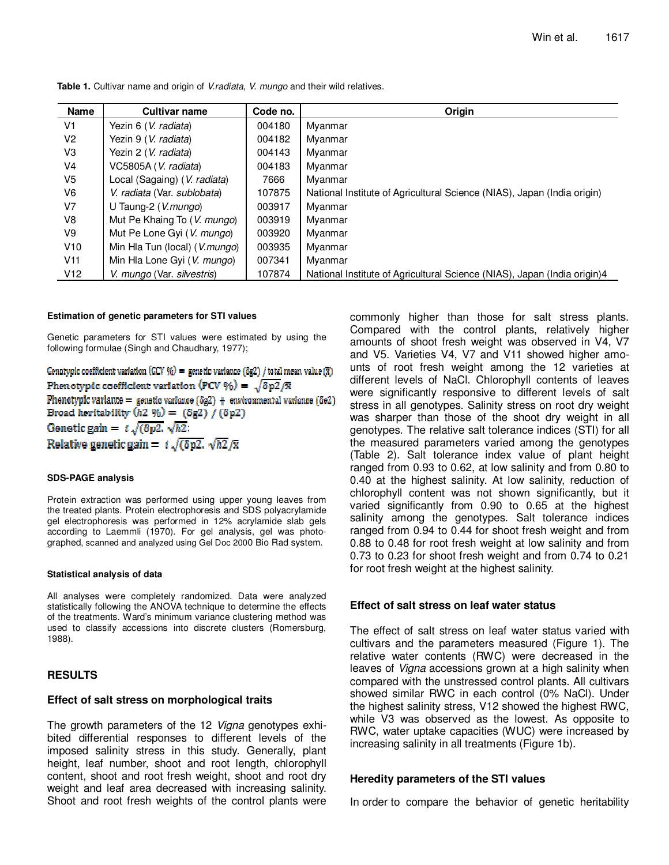| <b>Name</b>    | <b>Cultivar name</b>                   | Code no. | Origin                                                                   |
|----------------|----------------------------------------|----------|--------------------------------------------------------------------------|
| V <sub>1</sub> | Yezin 6 (V. radiata)                   | 004180   | Myanmar                                                                  |
| V2             | Yezin 9 (V. radiata)                   | 004182   | Myanmar                                                                  |
| V3             | Yezin 2 (V. radiata)                   | 004143   | Myanmar                                                                  |
| V4             | VC5805A (V. radiata)                   | 004183   | Myanmar                                                                  |
| V5             | Local (Sagaing) ( <i>V. radiata</i> )  | 7666     | Myanmar                                                                  |
| V6             | V. radiata (Var. sublobata)            | 107875   | National Institute of Agricultural Science (NIAS), Japan (India origin)  |
| V <sub>7</sub> | U Taung-2 (V.mungo)                    | 003917   | Myanmar                                                                  |
| V8             | Mut Pe Khaing To (V. mungo)            | 003919   | Myanmar                                                                  |
| V9             | Mut Pe Lone Gyi (V. mungo)             | 003920   | Myanmar                                                                  |
| V10            | Min Hla Tun (local) ( <i>V.mungo</i> ) | 003935   | Myanmar                                                                  |
| V11            | Min Hla Lone Gyi (V. mungo)            | 007341   | Myanmar                                                                  |
| V12            | V. mungo (Var. silvestris)             | 107874   | National Institute of Agricultural Science (NIAS), Japan (India origin)4 |

**Table 1.** Cultivar name and origin of V.radiata, V. mungo and their wild relatives.

#### **Estimation of genetic parameters for STI values**

Genetic parameters for STI values were estimated by using the following formulae (Singh and Chaudhary, 1977);

Genotypic coefficient variation (GCV %) = genetic variance (8g2) / total mean value ( $\bar{x}$ ) Phenotypic coefficient variation (PCV %) =  $\sqrt{\delta p^2}/\bar{x}$ Phenotypic variance = genetic variance  $(\delta g2)$  + environmental variance  $(\delta e2)$ Broad heritability  $(h2 \%) = (8g2) / (8p2)$ Genetic gain =  $i\sqrt{(\delta p2)}\sqrt{h2}$ ; Relative genetic gain =  $t\sqrt{(\delta p2)}\sqrt{h2}/\bar{x}$ 

#### **SDS-PAGE analysis**

Protein extraction was performed using upper young leaves from the treated plants. Protein electrophoresis and SDS polyacrylamide gel electrophoresis was performed in 12% acrylamide slab gels according to Laemmli (1970). For gel analysis, gel was photographed, scanned and analyzed using Gel Doc 2000 Bio Rad system.

#### **Statistical analysis of data**

All analyses were completely randomized. Data were analyzed statistically following the ANOVA technique to determine the effects of the treatments. Ward's minimum variance clustering method was used to classify accessions into discrete clusters (Romersburg, 1988).

# **RESULTS**

# **Effect of salt stress on morphological traits**

The growth parameters of the 12 Vigna genotypes exhibited differential responses to different levels of the imposed salinity stress in this study. Generally, plant height, leaf number, shoot and root length, chlorophyll content, shoot and root fresh weight, shoot and root dry weight and leaf area decreased with increasing salinity. Shoot and root fresh weights of the control plants were commonly higher than those for salt stress plants. Compared with the control plants, relatively higher amounts of shoot fresh weight was observed in V4, V7 and V5. Varieties V4, V7 and V11 showed higher amounts of root fresh weight among the 12 varieties at different levels of NaCl. Chlorophyll contents of leaves were significantly responsive to different levels of salt stress in all genotypes. Salinity stress on root dry weight was sharper than those of the shoot dry weight in all genotypes. The relative salt tolerance indices (STI) for all the measured parameters varied among the genotypes (Table 2). Salt tolerance index value of plant height ranged from 0.93 to 0.62, at low salinity and from 0.80 to 0.40 at the highest salinity. At low salinity, reduction of chlorophyll content was not shown significantly, but it varied significantly from 0.90 to 0.65 at the highest salinity among the genotypes. Salt tolerance indices ranged from 0.94 to 0.44 for shoot fresh weight and from 0.88 to 0.48 for root fresh weight at low salinity and from 0.73 to 0.23 for shoot fresh weight and from 0.74 to 0.21 for root fresh weight at the highest salinity.

# **Effect of salt stress on leaf water status**

The effect of salt stress on leaf water status varied with cultivars and the parameters measured (Figure 1). The relative water contents (RWC) were decreased in the leaves of Vigna accessions grown at a high salinity when compared with the unstressed control plants. All cultivars showed similar RWC in each control (0% NaCl). Under the highest salinity stress, V12 showed the highest RWC, while V3 was observed as the lowest. As opposite to RWC, water uptake capacities (WUC) were increased by increasing salinity in all treatments (Figure 1b).

# **Heredity parameters of the STI values**

In order to compare the behavior of genetic heritability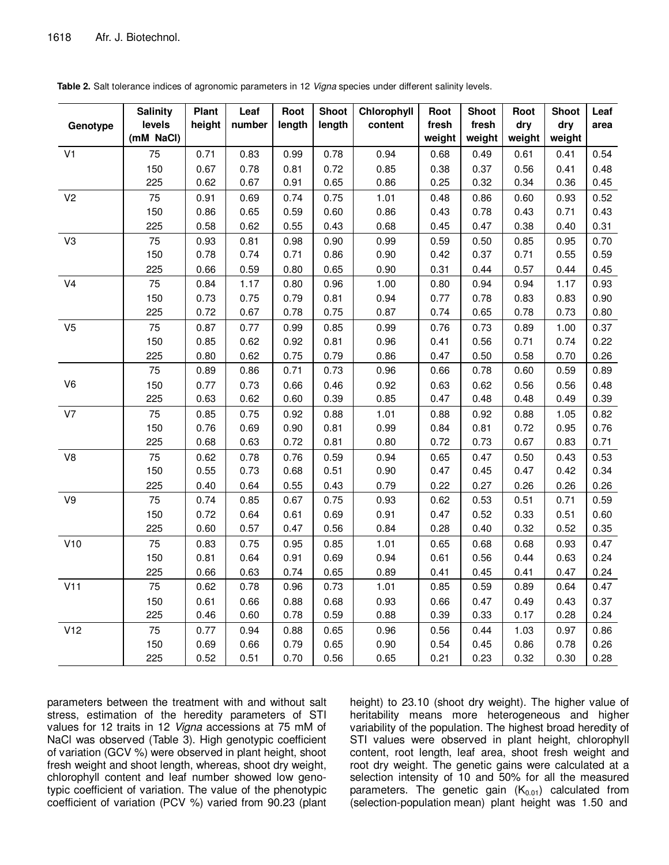|                           | <b>Salinity</b> | Plant  | Leaf   | Root   | <b>Shoot</b> | Chlorophyll | Root   | <b>Shoot</b> | Root   | <b>Shoot</b> | Leaf |
|---------------------------|-----------------|--------|--------|--------|--------------|-------------|--------|--------------|--------|--------------|------|
| Genotype                  | levels          | height | number | length | length       | content     | fresh  | fresh        | dry    | dry          | area |
|                           | (mM NaCl)       |        |        |        |              |             | weight | weight       | weight | weight       |      |
| V <sub>1</sub>            | 75              | 0.71   | 0.83   | 0.99   | 0.78         | 0.94        | 0.68   | 0.49         | 0.61   | 0.41         | 0.54 |
|                           | 150             | 0.67   | 0.78   | 0.81   | 0.72         | 0.85        | 0.38   | 0.37         | 0.56   | 0.41         | 0.48 |
|                           | 225             | 0.62   | 0.67   | 0.91   | 0.65         | 0.86        | 0.25   | 0.32         | 0.34   | 0.36         | 0.45 |
| V <sub>2</sub>            | 75              | 0.91   | 0.69   | 0.74   | 0.75         | 1.01        | 0.48   | 0.86         | 0.60   | 0.93         | 0.52 |
|                           | 150             | 0.86   | 0.65   | 0.59   | 0.60         | 0.86        | 0.43   | 0.78         | 0.43   | 0.71         | 0.43 |
|                           | 225             | 0.58   | 0.62   | 0.55   | 0.43         | 0.68        | 0.45   | 0.47         | 0.38   | 0.40         | 0.31 |
| V3                        | 75              | 0.93   | 0.81   | 0.98   | 0.90         | 0.99        | 0.59   | 0.50         | 0.85   | 0.95         | 0.70 |
|                           | 150             | 0.78   | 0.74   | 0.71   | 0.86         | 0.90        | 0.42   | 0.37         | 0.71   | 0.55         | 0.59 |
|                           | 225             | 0.66   | 0.59   | 0.80   | 0.65         | 0.90        | 0.31   | 0.44         | 0.57   | 0.44         | 0.45 |
| V <sub>4</sub>            | 75              | 0.84   | 1.17   | 0.80   | 0.96         | 1.00        | 0.80   | 0.94         | 0.94   | 1.17         | 0.93 |
|                           | 150             | 0.73   | 0.75   | 0.79   | 0.81         | 0.94        | 0.77   | 0.78         | 0.83   | 0.83         | 0.90 |
|                           | 225             | 0.72   | 0.67   | 0.78   | 0.75         | 0.87        | 0.74   | 0.65         | 0.78   | 0.73         | 0.80 |
| V <sub>5</sub>            | 75              | 0.87   | 0.77   | 0.99   | 0.85         | 0.99        | 0.76   | 0.73         | 0.89   | 1.00         | 0.37 |
|                           | 150             | 0.85   | 0.62   | 0.92   | 0.81         | 0.96        | 0.41   | 0.56         | 0.71   | 0.74         | 0.22 |
|                           | 225             | 0.80   | 0.62   | 0.75   | 0.79         | 0.86        | 0.47   | 0.50         | 0.58   | 0.70         | 0.26 |
|                           | 75              | 0.89   | 0.86   | 0.71   | 0.73         | 0.96        | 0.66   | 0.78         | 0.60   | 0.59         | 0.89 |
| V6                        | 150             | 0.77   | 0.73   | 0.66   | 0.46         | 0.92        | 0.63   | 0.62         | 0.56   | 0.56         | 0.48 |
|                           | 225             | 0.63   | 0.62   | 0.60   | 0.39         | 0.85        | 0.47   | 0.48         | 0.48   | 0.49         | 0.39 |
| V7                        | 75              | 0.85   | 0.75   | 0.92   | 0.88         | 1.01        | 0.88   | 0.92         | 0.88   | 1.05         | 0.82 |
|                           | 150             | 0.76   | 0.69   | 0.90   | 0.81         | 0.99        | 0.84   | 0.81         | 0.72   | 0.95         | 0.76 |
|                           | 225             | 0.68   | 0.63   | 0.72   | 0.81         | 0.80        | 0.72   | 0.73         | 0.67   | 0.83         | 0.71 |
| ${\vee}8$                 | 75              | 0.62   | 0.78   | 0.76   | 0.59         | 0.94        | 0.65   | 0.47         | 0.50   | 0.43         | 0.53 |
|                           | 150             | 0.55   | 0.73   | 0.68   | 0.51         | 0.90        | 0.47   | 0.45         | 0.47   | 0.42         | 0.34 |
|                           | 225             | 0.40   | 0.64   | 0.55   | 0.43         | 0.79        | 0.22   | 0.27         | 0.26   | 0.26         | 0.26 |
| $\vee\!\!\!\!\!\!\!\!\!9$ | 75              | 0.74   | 0.85   | 0.67   | 0.75         | 0.93        | 0.62   | 0.53         | 0.51   | 0.71         | 0.59 |
|                           | 150             | 0.72   | 0.64   | 0.61   | 0.69         | 0.91        | 0.47   | 0.52         | 0.33   | 0.51         | 0.60 |
|                           | 225             | 0.60   | 0.57   | 0.47   | 0.56         | 0.84        | 0.28   | 0.40         | 0.32   | 0.52         | 0.35 |
| V10                       | 75              | 0.83   | 0.75   | 0.95   | 0.85         | 1.01        | 0.65   | 0.68         | 0.68   | 0.93         | 0.47 |
|                           | 150             | 0.81   | 0.64   | 0.91   | 0.69         | 0.94        | 0.61   | 0.56         | 0.44   | 0.63         | 0.24 |
|                           | 225             | 0.66   | 0.63   | 0.74   | 0.65         | 0.89        | 0.41   | 0.45         | 0.41   | 0.47         | 0.24 |
| V11                       | 75              | 0.62   | 0.78   | 0.96   | 0.73         | 1.01        | 0.85   | 0.59         | 0.89   | 0.64         | 0.47 |
|                           | 150             | 0.61   | 0.66   | 0.88   | 0.68         | 0.93        | 0.66   | 0.47         | 0.49   | 0.43         | 0.37 |
|                           | 225             | 0.46   | 0.60   | 0.78   | 0.59         | 0.88        | 0.39   | 0.33         | 0.17   | 0.28         | 0.24 |
| V12                       | 75              | 0.77   | 0.94   | 0.88   | 0.65         | 0.96        | 0.56   | 0.44         | 1.03   | 0.97         | 0.86 |
|                           | 150             | 0.69   | 0.66   | 0.79   | 0.65         | 0.90        | 0.54   | 0.45         | 0.86   | 0.78         | 0.26 |
|                           | 225             | 0.52   | 0.51   | 0.70   | 0.56         | 0.65        | 0.21   | 0.23         | 0.32   | 0.30         | 0.28 |

**Table 2.** Salt tolerance indices of agronomic parameters in 12 Vigna species under different salinity levels.

parameters between the treatment with and without salt stress, estimation of the heredity parameters of STI values for 12 traits in 12 Vigna accessions at 75 mM of NaCl was observed (Table 3). High genotypic coefficient of variation (GCV %) were observed in plant height, shoot fresh weight and shoot length, whereas, shoot dry weight, chlorophyll content and leaf number showed low genotypic coefficient of variation. The value of the phenotypic coefficient of variation (PCV %) varied from 90.23 (plant

height) to 23.10 (shoot dry weight). The higher value of heritability means more heterogeneous and higher variability of the population. The highest broad heredity of STI values were observed in plant height, chlorophyll content, root length, leaf area, shoot fresh weight and root dry weight. The genetic gains were calculated at a selection intensity of 10 and 50% for all the measured parameters. The genetic gain  $(K_{0.01})$  calculated from (selection-population mean) plant height was 1.50 and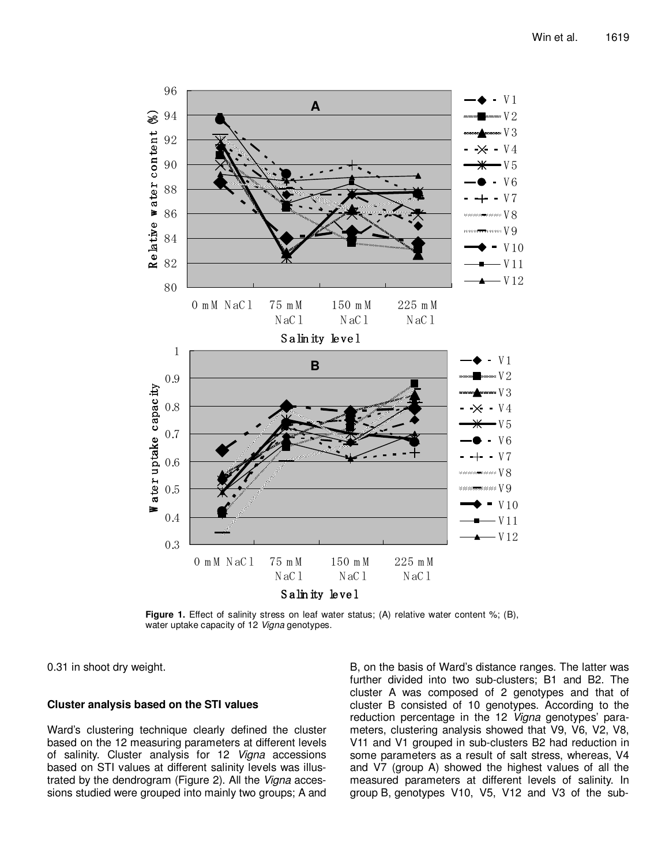

Figure 1. Effect of salinity stress on leaf water status; (A) relative water content %; (B), water uptake capacity of 12 Vigna genotypes.

0.31 in shoot dry weight.

# **Cluster analysis based on the STI values**

Ward's clustering technique clearly defined the cluster based on the 12 measuring parameters at different levels of salinity. Cluster analysis for 12 Vigna accessions based on STI values at different salinity levels was illustrated by the dendrogram (Figure 2). All the Vigna accessions studied were grouped into mainly two groups; A and

B, on the basis of Ward's distance ranges. The latter was further divided into two sub-clusters; B1 and B2. The cluster A was composed of 2 genotypes and that of cluster B consisted of 10 genotypes. According to the reduction percentage in the 12 Vigna genotypes' parameters, clustering analysis showed that V9, V6, V2, V8, V11 and V1 grouped in sub-clusters B2 had reduction in some parameters as a result of salt stress, whereas, V4 and V7 (group A) showed the highest values of all the measured parameters at different levels of salinity. In group B, genotypes V10, V5, V12 and V3 of the sub-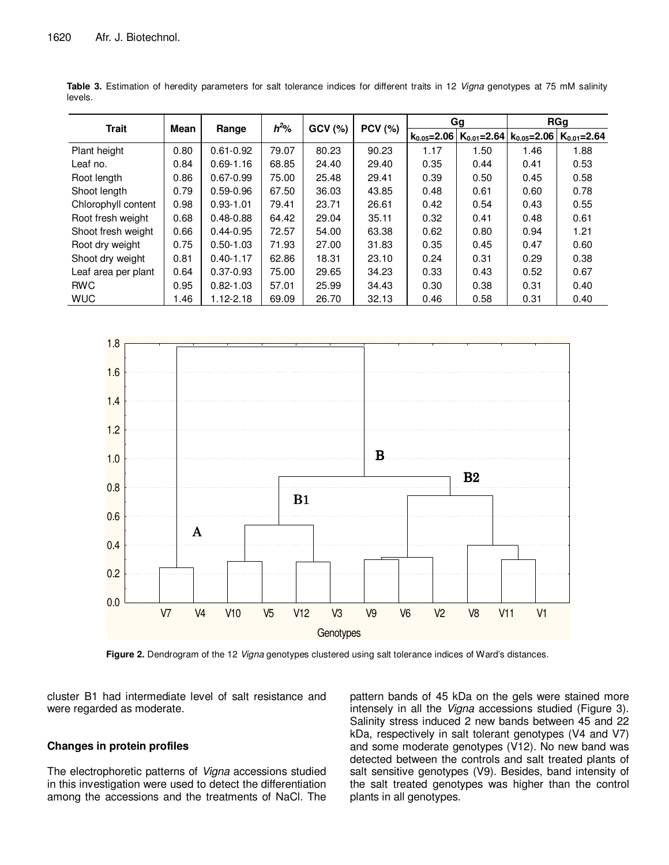|                     | Mean | Range         | $h^2\%$ | GCV(%) | <b>PCV (%)</b> | Gg                |                   | <b>RGg</b>        |                   |
|---------------------|------|---------------|---------|--------|----------------|-------------------|-------------------|-------------------|-------------------|
| <b>Trait</b>        |      |               |         |        |                | $k_{0.05} = 2.06$ | $K_{0.01} = 2.64$ | $k_{0.05} = 2.06$ | $K_{0.01} = 2.64$ |
| Plant height        | 0.80 | $0.61 - 0.92$ | 79.07   | 80.23  | 90.23          | 1.17              | 1.50              | 1.46              | 1.88              |
| Leaf no.            | 0.84 | $0.69 - 1.16$ | 68.85   | 24.40  | 29.40          | 0.35              | 0.44              | 0.41              | 0.53              |
| Root length         | 0.86 | $0.67 - 0.99$ | 75.00   | 25.48  | 29.41          | 0.39              | 0.50              | 0.45              | 0.58              |
| Shoot length        | 0.79 | $0.59 - 0.96$ | 67.50   | 36.03  | 43.85          | 0.48              | 0.61              | 0.60              | 0.78              |
| Chlorophyll content | 0.98 | $0.93 - 1.01$ | 79.41   | 23.71  | 26.61          | 0.42              | 0.54              | 0.43              | 0.55              |
| Root fresh weight   | 0.68 | $0.48 - 0.88$ | 64.42   | 29.04  | 35.11          | 0.32              | 0.41              | 0.48              | 0.61              |
| Shoot fresh weight  | 0.66 | $0.44 - 0.95$ | 72.57   | 54.00  | 63.38          | 0.62              | 0.80              | 0.94              | 1.21              |
| Root dry weight     | 0.75 | $0.50 - 1.03$ | 71.93   | 27.00  | 31.83          | 0.35              | 0.45              | 0.47              | 0.60              |
| Shoot dry weight    | 0.81 | $0.40 - 1.17$ | 62.86   | 18.31  | 23.10          | 0.24              | 0.31              | 0.29              | 0.38              |
| Leaf area per plant | 0.64 | $0.37 - 0.93$ | 75.00   | 29.65  | 34.23          | 0.33              | 0.43              | 0.52              | 0.67              |
| <b>RWC</b>          | 0.95 | $0.82 - 1.03$ | 57.01   | 25.99  | 34.43          | 0.30              | 0.38              | 0.31              | 0.40              |
| <b>WUC</b>          | 1.46 | $1.12 - 2.18$ | 69.09   | 26.70  | 32.13          | 0.46              | 0.58              | 0.31              | 0.40              |

**Table 3.** Estimation of heredity parameters for salt tolerance indices for different traits in 12 Vigna genotypes at 75 mM salinity levels.



Figure 2. Dendrogram of the 12 Vigna genotypes clustered using salt tolerance indices of Ward's distances.

cluster B1 had intermediate level of salt resistance and were regarded as moderate.

### **Changes in protein profiles**

The electrophoretic patterns of Vigna accessions studied in this investigation were used to detect the differentiation among the accessions and the treatments of NaCl. The pattern bands of 45 kDa on the gels were stained more intensely in all the Vigna accessions studied (Figure 3). Salinity stress induced 2 new bands between 45 and 22 kDa, respectively in salt tolerant genotypes (V4 and V7) and some moderate genotypes (V12). No new band was detected between the controls and salt treated plants of salt sensitive genotypes (V9). Besides, band intensity of the salt treated genotypes was higher than the control plants in all genotypes.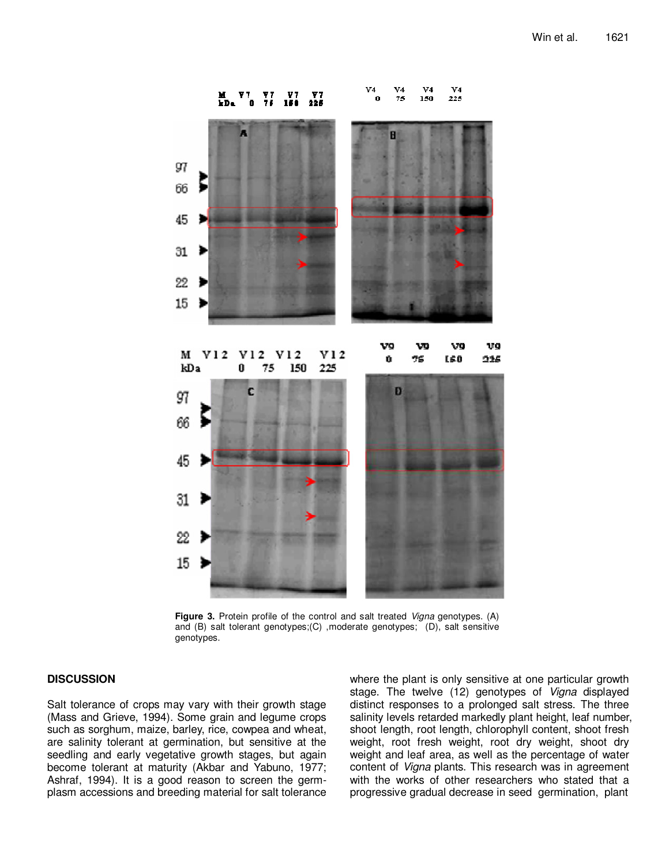

Figure 3. Protein profile of the control and salt treated Vigna genotypes. (A) and (B) salt tolerant genotypes;(C) ,moderate genotypes; (D), salt sensitive genotypes.

# **DISCUSSION**

Salt tolerance of crops may vary with their growth stage (Mass and Grieve, 1994). Some grain and legume crops such as sorghum, maize, barley, rice, cowpea and wheat, are salinity tolerant at germination, but sensitive at the seedling and early vegetative growth stages, but again become tolerant at maturity (Akbar and Yabuno, 1977; Ashraf, 1994). It is a good reason to screen the germplasm accessions and breeding material for salt tolerance where the plant is only sensitive at one particular growth stage. The twelve (12) genotypes of Vigna displayed distinct responses to a prolonged salt stress. The three salinity levels retarded markedly plant height, leaf number, shoot length, root length, chlorophyll content, shoot fresh weight, root fresh weight, root dry weight, shoot dry weight and leaf area, as well as the percentage of water content of Vigna plants. This research was in agreement with the works of other researchers who stated that a progressive gradual decrease in seed germination, plant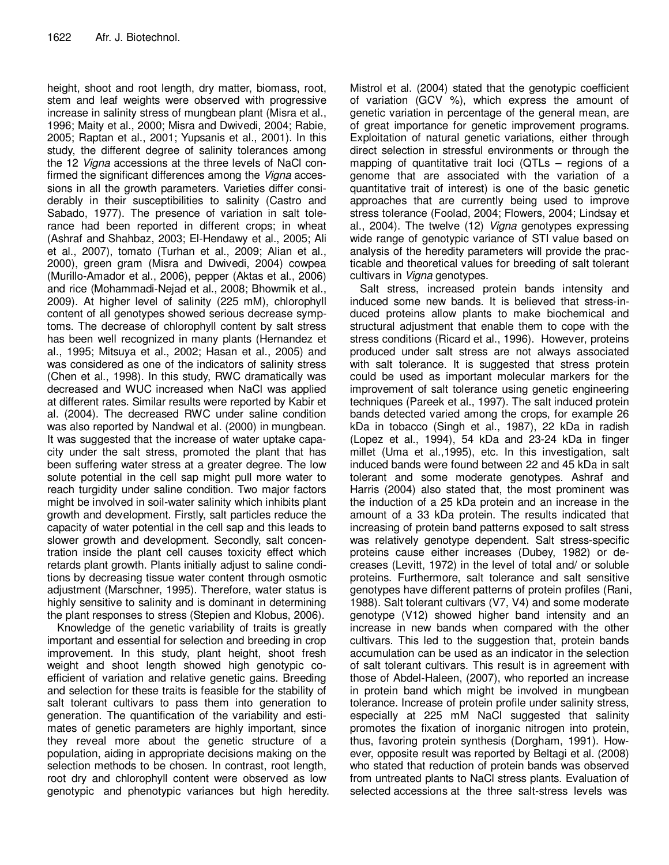height, shoot and root length, dry matter, biomass, root, stem and leaf weights were observed with progressive increase in salinity stress of mungbean plant (Misra et al., 1996; Maity et al., 2000; Misra and Dwivedi, 2004; Rabie, 2005; Raptan et al., 2001; Yupsanis et al., 2001). In this study, the different degree of salinity tolerances among the 12 Vigna accessions at the three levels of NaCl confirmed the significant differences among the *Vigna* accessions in all the growth parameters. Varieties differ considerably in their susceptibilities to salinity (Castro and Sabado, 1977). The presence of variation in salt tolerance had been reported in different crops; in wheat (Ashraf and Shahbaz, 2003; El-Hendawy et al., 2005; Ali et al., 2007), tomato (Turhan et al., 2009; Alian et al., 2000), green gram (Misra and Dwivedi, 2004) cowpea (Murillo-Amador et al., 2006), pepper (Aktas et al., 2006) and rice (Mohammadi-Nejad et al., 2008; Bhowmik et al., 2009). At higher level of salinity (225 mM), chlorophyll content of all genotypes showed serious decrease symptoms. The decrease of chlorophyll content by salt stress has been well recognized in many plants (Hernandez et al., 1995; Mitsuya et al., 2002; Hasan et al., 2005) and was considered as one of the indicators of salinity stress (Chen et al., 1998). In this study, RWC dramatically was decreased and WUC increased when NaCl was applied at different rates. Similar results were reported by Kabir et al. (2004). The decreased RWC under saline condition was also reported by Nandwal et al. (2000) in mungbean. It was suggested that the increase of water uptake capacity under the salt stress, promoted the plant that has been suffering water stress at a greater degree. The low solute potential in the cell sap might pull more water to reach turgidity under saline condition. Two major factors might be involved in soil-water salinity which inhibits plant growth and development. Firstly, salt particles reduce the capacity of water potential in the cell sap and this leads to slower growth and development. Secondly, salt concentration inside the plant cell causes toxicity effect which retards plant growth. Plants initially adjust to saline conditions by decreasing tissue water content through osmotic adjustment (Marschner, 1995). Therefore, water status is highly sensitive to salinity and is dominant in determining the plant responses to stress (Stepien and Klobus, 2006).

Knowledge of the genetic variability of traits is greatly important and essential for selection and breeding in crop improvement. In this study, plant height, shoot fresh weight and shoot length showed high genotypic coefficient of variation and relative genetic gains. Breeding and selection for these traits is feasible for the stability of salt tolerant cultivars to pass them into generation to generation. The quantification of the variability and estimates of genetic parameters are highly important, since they reveal more about the genetic structure of a population, aiding in appropriate decisions making on the selection methods to be chosen. In contrast, root length, root dry and chlorophyll content were observed as low genotypic and phenotypic variances but high heredity.

Mistrol et al. (2004) stated that the genotypic coefficient of variation (GCV %), which express the amount of genetic variation in percentage of the general mean, are of great importance for genetic improvement programs. Exploitation of natural genetic variations, either through direct selection in stressful environments or through the mapping of quantitative trait loci (QTLs – regions of a genome that are associated with the variation of a quantitative trait of interest) is one of the basic genetic approaches that are currently being used to improve stress tolerance (Foolad, 2004; Flowers, 2004; Lindsay et al., 2004). The twelve (12) Vigna genotypes expressing wide range of genotypic variance of STI value based on analysis of the heredity parameters will provide the practicable and theoretical values for breeding of salt tolerant cultivars in Vigna genotypes.

Salt stress, increased protein bands intensity and induced some new bands. It is believed that stress-induced proteins allow plants to make biochemical and structural adjustment that enable them to cope with the stress conditions (Ricard et al., 1996). However, proteins produced under salt stress are not always associated with salt tolerance. It is suggested that stress protein could be used as important molecular markers for the improvement of salt tolerance using genetic engineering techniques (Pareek et al., 1997). The salt induced protein bands detected varied among the crops, for example 26 kDa in tobacco (Singh et al., 1987), 22 kDa in radish (Lopez et al., 1994), 54 kDa and 23-24 kDa in finger millet (Uma et al.,1995), etc. In this investigation, salt induced bands were found between 22 and 45 kDa in salt tolerant and some moderate genotypes. Ashraf and Harris (2004) also stated that, the most prominent was the induction of a 25 kDa protein and an increase in the amount of a 33 kDa protein. The results indicated that increasing of protein band patterns exposed to salt stress was relatively genotype dependent. Salt stress-specific proteins cause either increases (Dubey, 1982) or decreases (Levitt, 1972) in the level of total and/ or soluble proteins. Furthermore, salt tolerance and salt sensitive genotypes have different patterns of protein profiles (Rani, 1988). Salt tolerant cultivars (V7, V4) and some moderate genotype (V12) showed higher band intensity and an increase in new bands when compared with the other cultivars. This led to the suggestion that, protein bands accumulation can be used as an indicator in the selection of salt tolerant cultivars. This result is in agreement with those of Abdel-Haleen, (2007), who reported an increase in protein band which might be involved in mungbean tolerance. Increase of protein profile under salinity stress, especially at 225 mM NaCl suggested that salinity promotes the fixation of inorganic nitrogen into protein, thus, favoring protein synthesis (Dorgham, 1991). However, opposite result was reported by Beltagi et al. (2008) who stated that reduction of protein bands was observed from untreated plants to NaCl stress plants. Evaluation of selected accessions at the three salt-stress levels was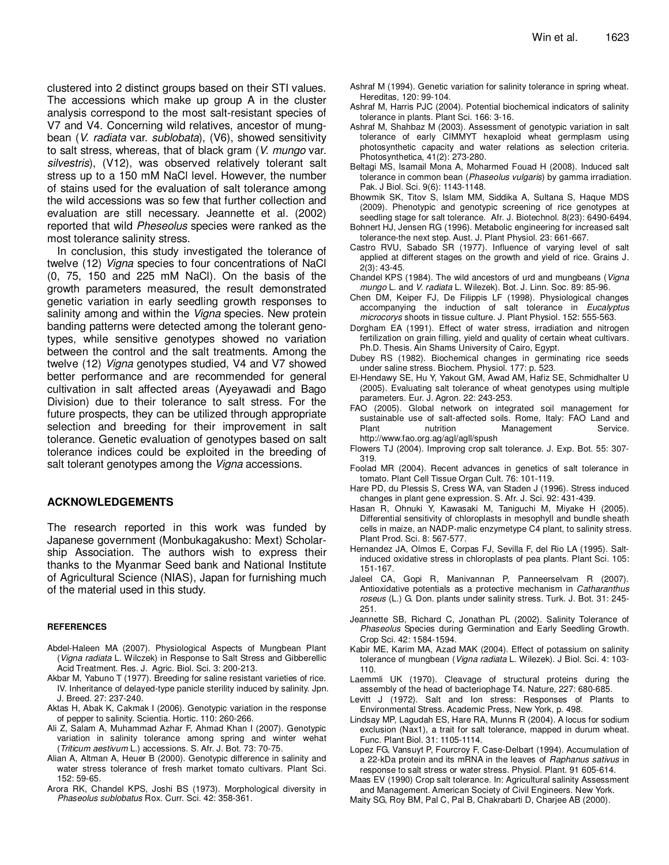clustered into 2 distinct groups based on their STI values. The accessions which make up group A in the cluster analysis correspond to the most salt-resistant species of V7 and V4. Concerning wild relatives, ancestor of mungbean (V. radiata var. sublobata), (V6), showed sensitivity to salt stress, whereas, that of black gram (V. mungo var. silvestris), (V12), was observed relatively tolerant salt stress up to a 150 mM NaCl level. However, the number of stains used for the evaluation of salt tolerance among the wild accessions was so few that further collection and evaluation are still necessary. Jeannette et al. (2002) reported that wild Pheseolus species were ranked as the most tolerance salinity stress.

In conclusion, this study investigated the tolerance of twelve (12) Vigna species to four concentrations of NaCl (0, 75, 150 and 225 mM NaCl). On the basis of the growth parameters measured, the result demonstrated genetic variation in early seedling growth responses to salinity among and within the *Vigna* species. New protein banding patterns were detected among the tolerant genotypes, while sensitive genotypes showed no variation between the control and the salt treatments. Among the twelve (12) Vigna genotypes studied, V4 and V7 showed better performance and are recommended for general cultivation in salt affected areas (Ayeyawadi and Bago Division) due to their tolerance to salt stress. For the future prospects, they can be utilized through appropriate selection and breeding for their improvement in salt tolerance. Genetic evaluation of genotypes based on salt tolerance indices could be exploited in the breeding of salt tolerant genotypes among the *Vigna* accessions.

#### **ACKNOWLEDGEMENTS**

The research reported in this work was funded by Japanese government (Monbukagakusho: Mext) Scholarship Association. The authors wish to express their thanks to the Myanmar Seed bank and National Institute of Agricultural Science (NIAS), Japan for furnishing much of the material used in this study.

#### **REFERENCES**

- Abdel-Haleen MA (2007). Physiological Aspects of Mungbean Plant (Vigna radiata L. Wilczek) in Response to Salt Stress and Gibberellic Acid Treatment. Res. J. Agric. Biol. Sci. 3: 200-213.
- Akbar M, Yabuno T (1977). Breeding for saline resistant varieties of rice. IV. Inheritance of delayed-type panicle sterility induced by salinity. Jpn. J. Breed. 27: 237-240.
- Aktas H, Abak K, Cakmak I (2006). Genotypic variation in the response of pepper to salinity. Scientia. Hortic. 110: 260-266.
- Ali Z, Salam A, Muhammad Azhar F, Ahmad Khan I (2007). Genotypic variation in salinity tolerance among spring and winter wehat (Triticum aestivum L.) accessions. S. Afr. J. Bot. 73: 70-75.
- Alian A, Altman A, Heuer B (2000). Genotypic difference in salinity and water stress tolerance of fresh market tomato cultivars. Plant Sci. 152: 59-65.
- Arora RK, Chandel KPS, Joshi BS (1973). Morphological diversity in Phaseolus sublobatus Rox. Curr. Sci. 42: 358-361.
- Ashraf M (1994). Genetic variation for salinity tolerance in spring wheat. Hereditas, 120: 99-104.
- Ashraf M, Harris PJC (2004). Potential biochemical indicators of salinity tolerance in plants. Plant Sci. 166: 3-16.
- Ashraf M, Shahbaz M (2003). Assessment of genotypic variation in salt tolerance of early CIMMYT hexaploid wheat germplasm using photosynthetic capacity and water relations as selection criteria. Photosynthetica, 41(2): 273-280.
- Beltagi MS, Isamail Mona A, Moharmed Fouad H (2008). Induced salt tolerance in common bean (Phaseolus vulgaris) by gamma irradiation. Pak. J Biol. Sci. 9(6): 1143-1148.
- Bhowmik SK, Titov S, Islam MM, Siddika A, Sultana S, Haque MDS (2009). Phenotypic and genotypic screening of rice genotypes at
- seedling stage for salt tolerance. Afr. J. Biotechnol. 8(23): 6490-6494. Bohnert HJ, Jensen RG (1996). Metabolic engineering for increased salt tolerance-the next step. Aust. J. Plant Physiol. 23: 661-667.
- Castro RVU, Sabado SR (1977). Influence of varying level of salt applied at different stages on the growth and yield of rice. Grains J. 2(3): 43-45.
- Chandel KPS (1984). The wild ancestors of urd and mungbeans (Vigna mungo L. and V. radiata L. Wilezek). Bot. J. Linn. Soc. 89: 85-96.
- Chen DM, Keiper FJ, De Filippis LF (1998). Physiological changes accompanying the induction of salt tolerance in Eucalyptus microcorys shoots in tissue culture. J. Plant Physiol. 152: 555-563.
- Dorgham EA (1991). Effect of water stress, irradiation and nitrogen fertilization on grain filling, yield and quality of certain wheat cultivars. Ph.D. Thesis. Ain Shams University of Cairo, Egypt.
- Dubey RS (1982). Biochemical changes in germinating rice seeds under saline stress. Biochem. Physiol. 177: p. 523.
- El-Hendawy SE, Hu Y, Yakout GM, Awad AM, Hafiz SE, Schmidhalter U (2005). Evaluating salt tolerance of wheat genotypes using multiple parameters. Eur. J. Agron. 22: 243-253.
- FAO (2005). Global network on integrated soil management for sustainable use of salt-affected soils. Rome, Italy: FAO Land and Plant **nutrition** Management Service. http://www.fao.org.ag/agl/agll/spush
- Flowers TJ (2004). Improving crop salt tolerance. J. Exp. Bot. 55: 307- 319.
- Foolad MR (2004). Recent advances in genetics of salt tolerance in tomato. Plant Cell Tissue Organ Cult. 76: 101-119.
- Hare PD, du Plessis S, Cress WA, van Staden J (1996). Stress induced changes in plant gene expression. S. Afr. J. Sci. 92: 431-439.
- Hasan R, Ohnuki Y, Kawasaki M, Taniguchi M, Miyake H (2005). Differential sensitivity of chloroplasts in mesophyll and bundle sheath cells in maize, an NADP-malic enzymetype C4 plant, to salinity stress. Plant Prod. Sci. 8: 567-577.
- Hernandez JA, Olmos E, Corpas FJ, Sevilla F, del Rio LA (1995). Saltinduced oxidative stress in chloroplasts of pea plants. Plant Sci. 105: 151-167.
- Jaleel CA, Gopi R, Manivannan P, Panneerselvam R (2007). Antioxidative potentials as a protective mechanism in Catharanthus roseus (L.) G. Don. plants under salinity stress. Turk. J. Bot. 31: 245- 251.
- Jeannette SB, Richard C, Jonathan PL (2002). Salinity Tolerance of Phaseolus Species during Germination and Early Seedling Growth. Crop Sci. 42: 1584-1594.
- Kabir ME, Karim MA, Azad MAK (2004). Effect of potassium on salinity tolerance of mungbean (Vigna radiata L. Wilezek). J Biol. Sci. 4: 103- 110.
- Laemmli UK (1970). Cleavage of structural proteins during the assembly of the head of bacteriophage T4. Nature, 227: 680-685.
- Levitt J (1972). Salt and Ion stress: Responses of Plants to Environmental Stress. Academic Press, New York, p. 498.
- Lindsay MP, Lagudah ES, Hare RA, Munns R (2004). A locus for sodium exclusion (Nax1), a trait for salt tolerance, mapped in durum wheat. Func. Plant Biol. 31: 1105-1114.
- Lopez FG, Vansuyt P, Fourcroy F, Case-Delbart (1994). Accumulation of a 22-kDa protein and its mRNA in the leaves of Raphanus sativus in response to salt stress or water stress. Physiol. Plant. 91 605-614.

Maas EV (1990) Crop salt tolerance. In: Agricultural salinity Assessment and Management. American Society of Civil Engineers. New York.

Maity SG, Roy BM, Pal C, Pal B, Chakrabarti D, Charjee AB (2000).